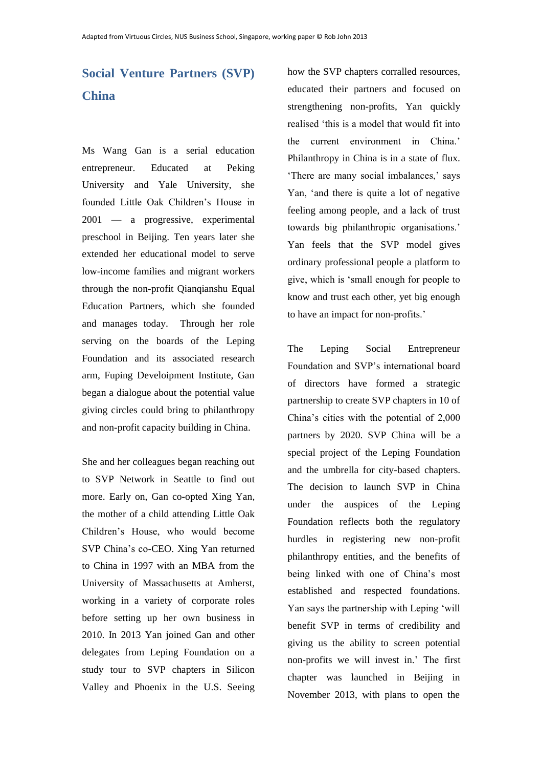## **Social Venture Partners (SVP) China**

Ms Wang Gan is a serial education entrepreneur. Educated at Peking University and Yale University, she founded Little Oak Children's House in 2001 — a progressive, experimental preschool in Beijing. Ten years later she extended her educational model to serve low-income families and migrant workers through the non-profit Qianqianshu Equal Education Partners, which she founded and manages today. Through her role serving on the boards of the Leping Foundation and its associated research arm, Fuping Develoipment Institute, Gan began a dialogue about the potential value giving circles could bring to philanthropy and non-profit capacity building in China.

She and her colleagues began reaching out to SVP Network in Seattle to find out more. Early on, Gan co-opted Xing Yan, the mother of a child attending Little Oak Children's House, who would become SVP China's co-CEO. Xing Yan returned to China in 1997 with an MBA from the University of Massachusetts at Amherst, working in a variety of corporate roles before setting up her own business in 2010. In 2013 Yan joined Gan and other delegates from Leping Foundation on a study tour to SVP chapters in Silicon Valley and Phoenix in the U.S. Seeing

how the SVP chapters corralled resources, educated their partners and focused on strengthening non-profits, Yan quickly realised 'this is a model that would fit into the current environment in China.' Philanthropy in China is in a state of flux. 'There are many social imbalances,' says Yan, 'and there is quite a lot of negative feeling among people, and a lack of trust towards big philanthropic organisations.' Yan feels that the SVP model gives ordinary professional people a platform to give, which is 'small enough for people to know and trust each other, yet big enough to have an impact for non-profits.'

The Leping Social Entrepreneur Foundation and SVP's international board of directors have formed a strategic partnership to create SVP chapters in 10 of China's cities with the potential of 2,000 partners by 2020. SVP China will be a special project of the Leping Foundation and the umbrella for city-based chapters. The decision to launch SVP in China under the auspices of the Leping Foundation reflects both the regulatory hurdles in registering new non-profit philanthropy entities, and the benefits of being linked with one of China's most established and respected foundations. Yan says the partnership with Leping 'will benefit SVP in terms of credibility and giving us the ability to screen potential non-profits we will invest in.' The first chapter was launched in Beijing in November 2013, with plans to open the